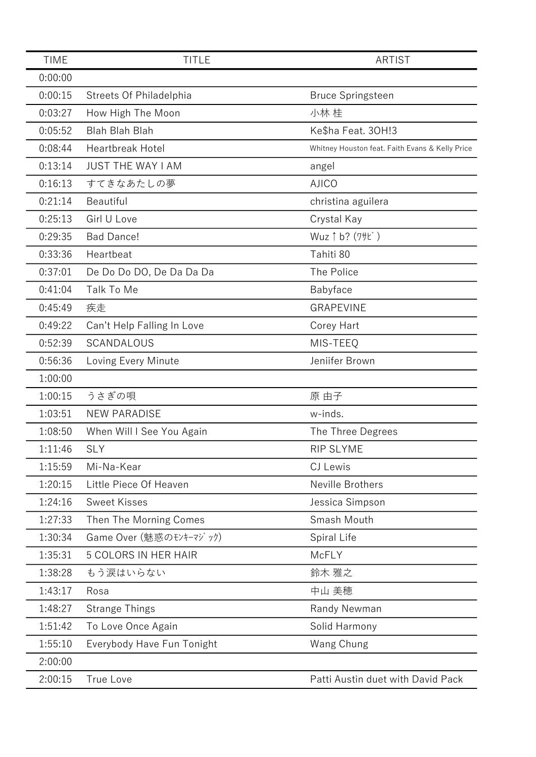| <b>TIME</b> | <b>TITLE</b>                   | <b>ARTIST</b>                                   |
|-------------|--------------------------------|-------------------------------------------------|
| 0:00:00     |                                |                                                 |
| 0:00:15     | <b>Streets Of Philadelphia</b> | <b>Bruce Springsteen</b>                        |
| 0:03:27     | How High The Moon              | 小林 桂                                            |
| 0:05:52     | <b>Blah Blah Blah</b>          | Ke\$ha Feat. 30H!3                              |
| 0:08:44     | <b>Heartbreak Hotel</b>        | Whitney Houston feat. Faith Evans & Kelly Price |
| 0:13:14     | <b>JUST THE WAY I AM</b>       | angel                                           |
| 0:16:13     | すてきなあたしの夢                      | <b>AJICO</b>                                    |
| 0:21:14     | Beautiful                      | christina aguilera                              |
| 0:25:13     | Girl U Love                    | Crystal Kay                                     |
| 0:29:35     | <b>Bad Dance!</b>              | Wuz 1 b? (7+t)                                  |
| 0:33:36     | Heartbeat                      | Tahiti 80                                       |
| 0:37:01     | De Do Do DO, De Da Da Da       | The Police                                      |
| 0:41:04     | Talk To Me                     | Babyface                                        |
| 0:45:49     | 疾走                             | <b>GRAPEVINE</b>                                |
| 0:49:22     | Can't Help Falling In Love     | Corey Hart                                      |
| 0:52:39     | SCANDALOUS                     | MIS-TEEQ                                        |
| 0:56:36     | Loving Every Minute            | Jeniifer Brown                                  |
| 1:00:00     |                                |                                                 |
| 1:00:15     | うさぎの唄                          | 原 由子                                            |
| 1:03:51     | <b>NEW PARADISE</b>            | w-inds.                                         |
| 1:08:50     | When Will I See You Again      | The Three Degrees                               |
| 1:11:46     | <b>SLY</b>                     | <b>RIP SLYME</b>                                |
| 1:15:59     | Mi-Na-Kear                     | CJ Lewis                                        |
| 1:20:15     | Little Piece Of Heaven         | Neville Brothers                                |
| 1:24:16     | <b>Sweet Kisses</b>            | Jessica Simpson                                 |
| 1:27:33     | Then The Morning Comes         | Smash Mouth                                     |
| 1:30:34     | Game Over (魅惑のモンキーマジック)        | Spiral Life                                     |
| 1:35:31     | <b>5 COLORS IN HER HAIR</b>    | McFLY                                           |
| 1:38:28     | もう涙はいらない                       | 鈴木 雅之                                           |
| 1:43:17     | Rosa                           | 中山 美穂                                           |
| 1:48:27     | <b>Strange Things</b>          | Randy Newman                                    |
| 1:51:42     | To Love Once Again             | Solid Harmony                                   |
| 1:55:10     | Everybody Have Fun Tonight     | Wang Chung                                      |
| 2:00:00     |                                |                                                 |
| 2:00:15     | True Love                      | Patti Austin duet with David Pack               |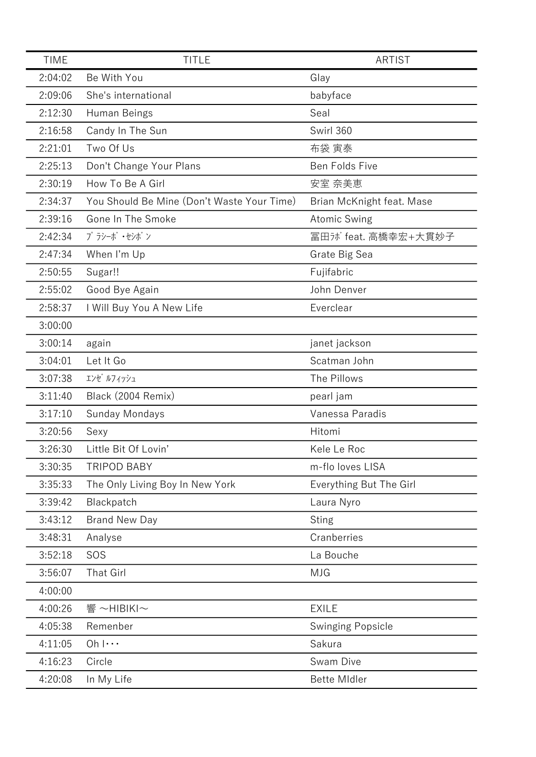| <b>TIME</b> | <b>TITLE</b>                               | <b>ARTIST</b>             |
|-------------|--------------------------------------------|---------------------------|
| 2:04:02     | Be With You                                | Glay                      |
| 2:09:06     | She's international                        | babyface                  |
| 2:12:30     | Human Beings                               | Seal                      |
| 2:16:58     | Candy In The Sun                           | Swirl 360                 |
| 2:21:01     | Two Of Us                                  | 布袋 寅泰                     |
| 2:25:13     | Don't Change Your Plans                    | Ben Folds Five            |
| 2:30:19     | How To Be A Girl                           | 安室 奈美恵                    |
| 2:34:37     | You Should Be Mine (Don't Waste Your Time) | Brian McKnight feat. Mase |
| 2:39:16     | Gone In The Smoke                          | <b>Atomic Swing</b>       |
| 2:42:34     | プ ラシーボ ・セシボ ン                              | 冨田ji feat. 高橋幸宏+大貫妙子      |
| 2:47:34     | When I'm Up                                | Grate Big Sea             |
| 2:50:55     | Sugar!!                                    | Fujifabric                |
| 2:55:02     | Good Bye Again                             | John Denver               |
| 2:58:37     | I Will Buy You A New Life                  | Everclear                 |
| 3:00:00     |                                            |                           |
| 3:00:14     | again                                      | janet jackson             |
| 3:04:01     | Let It Go                                  | Scatman John              |
| 3:07:38     | エンゼ ルフィッシュ                                 | The Pillows               |
| 3:11:40     | Black (2004 Remix)                         | pearl jam                 |
| 3:17:10     | Sunday Mondays                             | Vanessa Paradis           |
| 3:20:56     | Sexy                                       | Hitomi                    |
| 3:26:30     | Little Bit Of Lovin'                       | Kele Le Roc               |
| 3:30:35     | <b>TRIPOD BABY</b>                         | m-flo loves LISA          |
| 3:35:33     | The Only Living Boy In New York            | Everything But The Girl   |
| 3:39:42     | Blackpatch                                 | Laura Nyro                |
| 3:43:12     | <b>Brand New Day</b>                       | <b>Sting</b>              |
| 3:48:31     | Analyse                                    | Cranberries               |
| 3:52:18     | SOS                                        | La Bouche                 |
| 3:56:07     | <b>That Girl</b>                           | <b>MJG</b>                |
| 4:00:00     |                                            |                           |
| 4:00:26     | 響 ~HIBIKI~                                 | <b>EXILE</b>              |
| 4:05:38     | Remenber                                   | <b>Swinging Popsicle</b>  |
| 4:11:05     | $Oh$ $ \cdots$                             | Sakura                    |
| 4:16:23     | Circle                                     | Swam Dive                 |
| 4:20:08     | In My Life                                 | <b>Bette Midler</b>       |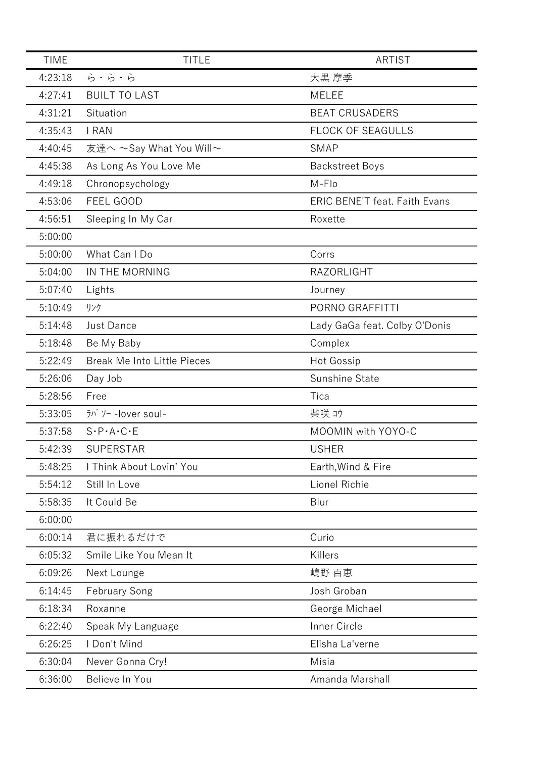| <b>TIME</b> | <b>TITLE</b>                                                                                                  | <b>ARTIST</b>                        |
|-------------|---------------------------------------------------------------------------------------------------------------|--------------------------------------|
| 4:23:18     | ら・ら・ら                                                                                                         | 大黒 摩季                                |
| 4:27:41     | <b>BUILT TO LAST</b>                                                                                          | <b>MELEE</b>                         |
| 4:31:21     | Situation                                                                                                     | <b>BEAT CRUSADERS</b>                |
| 4:35:43     | I RAN                                                                                                         | <b>FLOCK OF SEAGULLS</b>             |
| 4:40:45     | 友達へ ~Say What You Will~                                                                                       | <b>SMAP</b>                          |
| 4:45:38     | As Long As You Love Me                                                                                        | <b>Backstreet Boys</b>               |
| 4:49:18     | Chronopsychology                                                                                              | M-Flo                                |
| 4:53:06     | FEEL GOOD                                                                                                     | <b>ERIC BENE'T feat. Faith Evans</b> |
| 4:56:51     | Sleeping In My Car                                                                                            | Roxette                              |
| 5:00:00     |                                                                                                               |                                      |
| 5:00:00     | What Can I Do                                                                                                 | Corrs                                |
| 5:04:00     | IN THE MORNING                                                                                                | <b>RAZORLIGHT</b>                    |
| 5:07:40     | Lights                                                                                                        | Journey                              |
| 5:10:49     | リンク                                                                                                           | PORNO GRAFFITTI                      |
| 5:14:48     | <b>Just Dance</b>                                                                                             | Lady GaGa feat. Colby O'Donis        |
| 5:18:48     | Be My Baby                                                                                                    | Complex                              |
| 5:22:49     | <b>Break Me Into Little Pieces</b>                                                                            | <b>Hot Gossip</b>                    |
| 5:26:06     | Day Job                                                                                                       | Sunshine State                       |
| 5:28:56     | Free                                                                                                          | Tica                                 |
| 5:33:05     | $\overline{7}$ <sup><math>\overline{7}</math></sup> $\overline{7}$ $\overline{7}$ $\overline{7}$ -lover soul- | 柴咲 1ウ                                |
| 5:37:58     | $S \cdot P \cdot A \cdot C \cdot E$                                                                           | MOOMIN with YOYO-C                   |
| 5:42:39     | <b>SUPERSTAR</b>                                                                                              | <b>USHER</b>                         |
| 5:48:25     | I Think About Lovin' You                                                                                      | Earth, Wind & Fire                   |
| 5:54:12     | Still In Love                                                                                                 | Lionel Richie                        |
| 5:58:35     | It Could Be                                                                                                   | Blur                                 |
| 6:00:00     |                                                                                                               |                                      |
| 6:00:14     | 君に振れるだけで                                                                                                      | Curio                                |
| 6:05:32     | Smile Like You Mean It                                                                                        | Killers                              |
| 6:09:26     | Next Lounge                                                                                                   | 嶋野 百恵                                |
| 6:14:45     | <b>February Song</b>                                                                                          | Josh Groban                          |
| 6:18:34     | Roxanne                                                                                                       | George Michael                       |
| 6:22:40     | Speak My Language                                                                                             | Inner Circle                         |
| 6:26:25     | I Don't Mind                                                                                                  | Elisha La'verne                      |
| 6:30:04     | Never Gonna Cry!                                                                                              | Misia                                |
| 6:36:00     | Believe In You                                                                                                | Amanda Marshall                      |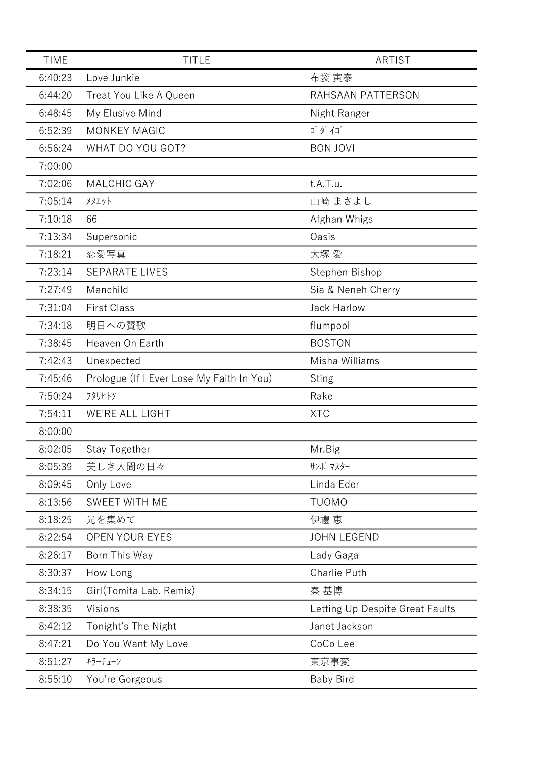| <b>TIME</b> | <b>TITLE</b>                              | ARTIST                          |
|-------------|-------------------------------------------|---------------------------------|
| 6:40:23     | Love Junkie                               | 布袋 寅泰                           |
| 6:44:20     | Treat You Like A Queen                    | RAHSAAN PATTERSON               |
| 6:48:45     | My Elusive Mind                           | Night Ranger                    |
| 6:52:39     | <b>MONKEY MAGIC</b>                       | ゴダイゴ                            |
| 6:56:24     | WHAT DO YOU GOT?                          | <b>BON JOVI</b>                 |
| 7:00:00     |                                           |                                 |
| 7:02:06     | <b>MALCHIC GAY</b>                        | t.A.T.u.                        |
| 7:05:14     | <b>メヌエット</b>                              | 山崎 まさよし                         |
| 7:10:18     | 66                                        | Afghan Whigs                    |
| 7:13:34     | Supersonic                                | Oasis                           |
| 7:18:21     | 恋愛写真                                      | 大塚 愛                            |
| 7:23:14     | <b>SEPARATE LIVES</b>                     | Stephen Bishop                  |
| 7:27:49     | Manchild                                  | Sia & Neneh Cherry              |
| 7:31:04     | <b>First Class</b>                        | <b>Jack Harlow</b>              |
| 7:34:18     | 明日への賛歌                                    | flumpool                        |
| 7:38:45     | Heaven On Earth                           | <b>BOSTON</b>                   |
| 7:42:43     | Unexpected                                | Misha Williams                  |
| 7:45:46     | Prologue (If I Ever Lose My Faith In You) | <b>Sting</b>                    |
| 7:50:24     | フタリヒトツ                                    | Rake                            |
| 7:54:11     | <b>WE'RE ALL LIGHT</b>                    | <b>XTC</b>                      |
| 8:00:00     |                                           |                                 |
| 8:02:05     | Stay Together                             | Mr.Big                          |
| 8:05:39     | 美しき人間の日々                                  | サンボ マスター                        |
| 8:09:45     | Only Love                                 | Linda Eder                      |
| 8:13:56     | SWEET WITH ME                             | <b>TUOMO</b>                    |
| 8:18:25     | 光を集めて                                     | 伊禮 恵                            |
| 8:22:54     | <b>OPEN YOUR EYES</b>                     | <b>JOHN LEGEND</b>              |
| 8:26:17     | Born This Way                             | Lady Gaga                       |
| 8:30:37     | How Long                                  | Charlie Puth                    |
| 8:34:15     | Girl(Tomita Lab. Remix)                   | 秦 基博                            |
| 8:38:35     | Visions                                   | Letting Up Despite Great Faults |
| 8:42:12     | Tonight's The Night                       | Janet Jackson                   |
| 8:47:21     | Do You Want My Love                       | CoCo Lee                        |
| 8:51:27     | キラーチューン                                   | 東京事変                            |
| 8:55:10     | You're Gorgeous                           | <b>Baby Bird</b>                |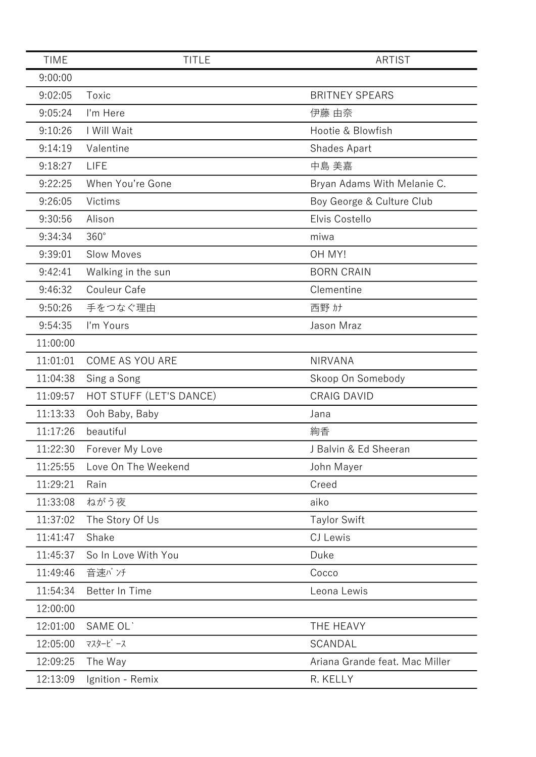| <b>TIME</b> | <b>TITLE</b>            | ARTIST                         |
|-------------|-------------------------|--------------------------------|
| 9:00:00     |                         |                                |
| 9:02:05     | Toxic                   | <b>BRITNEY SPEARS</b>          |
| 9:05:24     | I'm Here                | 伊藤 由奈                          |
| 9:10:26     | I Will Wait             | Hootie & Blowfish              |
| 9:14:19     | Valentine               | Shades Apart                   |
| 9:18:27     | <b>LIFE</b>             | 中島 美嘉                          |
| 9:22:25     | When You're Gone        | Bryan Adams With Melanie C.    |
| 9:26:05     | Victims                 | Boy George & Culture Club      |
| 9:30:56     | Alison                  | Elvis Costello                 |
| 9:34:34     | $360^\circ$             | miwa                           |
| 9:39:01     | <b>Slow Moves</b>       | OH MY!                         |
| 9:42:41     | Walking in the sun      | <b>BORN CRAIN</b>              |
| 9:46:32     | Couleur Cafe            | Clementine                     |
| 9:50:26     | 手をつなぐ理由                 | 西野 カナ                          |
| 9:54:35     | I'm Yours               | Jason Mraz                     |
| 11:00:00    |                         |                                |
| 11:01:01    | COME AS YOU ARE         | <b>NIRVANA</b>                 |
| 11:04:38    | Sing a Song             | Skoop On Somebody              |
| 11:09:57    | HOT STUFF (LET'S DANCE) | <b>CRAIG DAVID</b>             |
| 11:13:33    | Ooh Baby, Baby          | Jana                           |
| 11:17:26    | beautiful               | 絢香                             |
| 11:22:30    | Forever My Love         | J Balvin & Ed Sheeran          |
| 11:25:55    | Love On The Weekend     | John Mayer                     |
| 11:29:21    | Rain                    | Creed                          |
| 11:33:08    | ねがう夜                    | aiko                           |
| 11:37:02    | The Story Of Us         | <b>Taylor Swift</b>            |
| 11:41:47    | Shake                   | CJ Lewis                       |
| 11:45:37    | So In Love With You     | Duke                           |
| 11:49:46    | 音速パンチ                   | Cocco                          |
| 11:54:34    | Better In Time          | Leona Lewis                    |
| 12:00:00    |                         |                                |
| 12:01:00    | SAME OL'                | THE HEAVY                      |
| 12:05:00    | マスターピース                 | SCANDAL                        |
| 12:09:25    | The Way                 | Ariana Grande feat. Mac Miller |
| 12:13:09    | Ignition - Remix        | R. KELLY                       |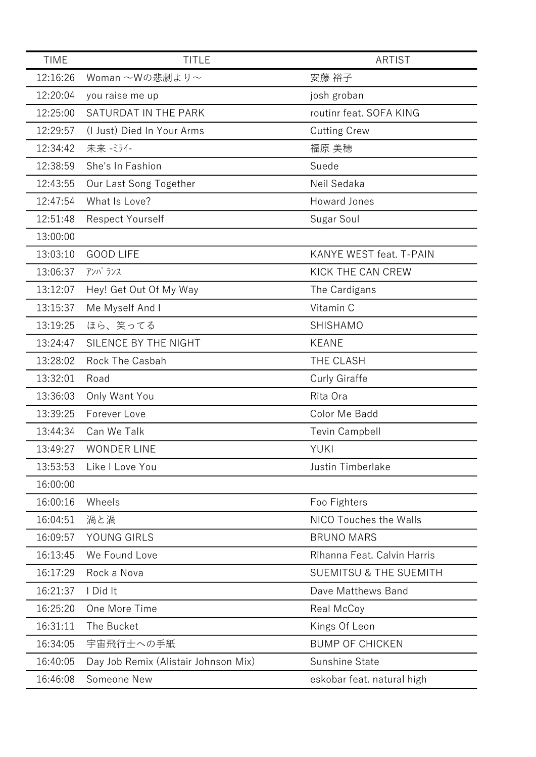| <b>TIME</b> | <b>TITLE</b>                         | ARTIST                            |
|-------------|--------------------------------------|-----------------------------------|
| 12:16:26    | Woman ~Wの悲劇より~                       | 安藤 裕子                             |
| 12:20:04    | you raise me up                      | josh groban                       |
| 12:25:00    | SATURDAT IN THE PARK                 | routinr feat. SOFA KING           |
| 12:29:57    | (I Just) Died In Your Arms           | <b>Cutting Crew</b>               |
| 12:34:42    | 未来 - ミライ-                            | 福原 美穂                             |
| 12:38:59    | She's In Fashion                     | Suede                             |
| 12:43:55    | Our Last Song Together               | Neil Sedaka                       |
| 12:47:54    | What Is Love?                        | Howard Jones                      |
| 12:51:48    | <b>Respect Yourself</b>              | Sugar Soul                        |
| 13:00:00    |                                      |                                   |
| 13:03:10    | <b>GOOD LIFE</b>                     | <b>KANYE WEST feat. T-PAIN</b>    |
| 13:06:37    | アンバランス                               | KICK THE CAN CREW                 |
| 13:12:07    | Hey! Get Out Of My Way               | The Cardigans                     |
| 13:15:37    | Me Myself And I                      | Vitamin C                         |
| 13:19:25    | ほら、笑ってる                              | SHISHAMO                          |
| 13:24:47    | SILENCE BY THE NIGHT                 | <b>KEANE</b>                      |
| 13:28:02    | Rock The Casbah                      | THE CLASH                         |
| 13:32:01    | Road                                 | Curly Giraffe                     |
| 13:36:03    | Only Want You                        | Rita Ora                          |
| 13:39:25    | Forever Love                         | Color Me Badd                     |
| 13:44:34    | Can We Talk                          | <b>Tevin Campbell</b>             |
| 13:49:27    | <b>WONDER LINE</b>                   | <b>YUKI</b>                       |
| 13:53:53    | Like I Love You                      | Justin Timberlake                 |
| 16:00:00    |                                      |                                   |
| 16:00:16    | Wheels                               | Foo Fighters                      |
| 16:04:51    | 渦と渦                                  | NICO Touches the Walls            |
| 16:09:57    | YOUNG GIRLS                          | <b>BRUNO MARS</b>                 |
| 16:13:45    | We Found Love                        | Rihanna Feat. Calvin Harris       |
| 16:17:29    | Rock a Nova                          | <b>SUEMITSU &amp; THE SUEMITH</b> |
| 16:21:37    | I Did It                             | Dave Matthews Band                |
| 16:25:20    | One More Time                        | Real McCoy                        |
| 16:31:11    | The Bucket                           | Kings Of Leon                     |
| 16:34:05    | 宇宙飛行士への手紙                            | <b>BUMP OF CHICKEN</b>            |
| 16:40:05    | Day Job Remix (Alistair Johnson Mix) | Sunshine State                    |
| 16:46:08    | Someone New                          | eskobar feat. natural high        |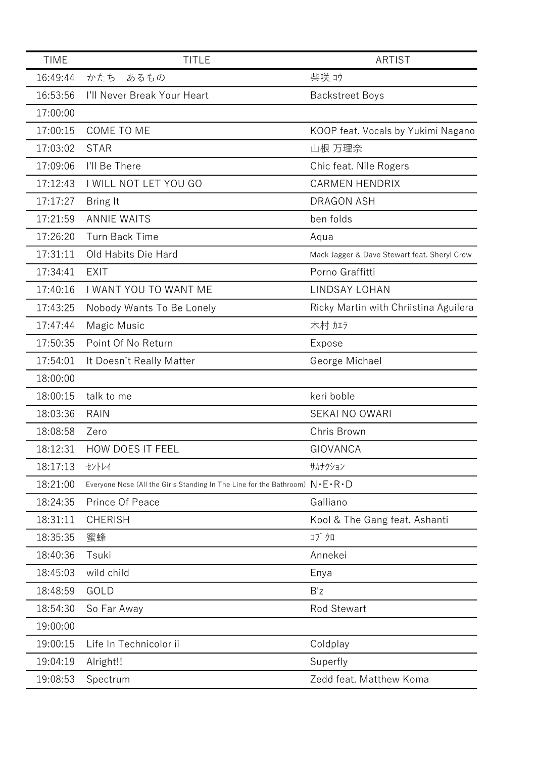| <b>TIME</b> | <b>TITLE</b>                                                                                    | <b>ARTIST</b>                                |
|-------------|-------------------------------------------------------------------------------------------------|----------------------------------------------|
| 16:49:44    | かたち<br>あるもの                                                                                     | 柴咲 1ウ                                        |
| 16:53:56    | I'll Never Break Your Heart                                                                     | <b>Backstreet Boys</b>                       |
| 17:00:00    |                                                                                                 |                                              |
| 17:00:15    | COME TO ME                                                                                      | KOOP feat. Vocals by Yukimi Nagano           |
| 17:03:02    | <b>STAR</b>                                                                                     | 山根 万理奈                                       |
| 17:09:06    | I'll Be There                                                                                   | Chic feat. Nile Rogers                       |
| 17:12:43    | I WILL NOT LET YOU GO                                                                           | <b>CARMEN HENDRIX</b>                        |
| 17:17:27    | Bring It                                                                                        | <b>DRAGON ASH</b>                            |
| 17:21:59    | <b>ANNIE WAITS</b>                                                                              | ben folds                                    |
| 17:26:20    | <b>Turn Back Time</b>                                                                           | Aqua                                         |
| 17:31:11    | Old Habits Die Hard                                                                             | Mack Jagger & Dave Stewart feat. Sheryl Crow |
| 17:34:41    | <b>EXIT</b>                                                                                     | Porno Graffitti                              |
| 17:40:16    | I WANT YOU TO WANT ME                                                                           | <b>LINDSAY LOHAN</b>                         |
| 17:43:25    | Nobody Wants To Be Lonely                                                                       | Ricky Martin with Chriistina Aguilera        |
| 17:47:44    | Magic Music                                                                                     | 木村加方                                         |
| 17:50:35    | Point Of No Return                                                                              | Expose                                       |
| 17:54:01    | It Doesn't Really Matter                                                                        | George Michael                               |
| 18:00:00    |                                                                                                 |                                              |
| 18:00:15    | talk to me                                                                                      | keri boble                                   |
| 18:03:36    | <b>RAIN</b>                                                                                     | <b>SEKAI NO OWARI</b>                        |
| 18:08:58    | Zero                                                                                            | Chris Brown                                  |
| 18:12:31    | <b>HOW DOES IT FEEL</b>                                                                         | <b>GIOVANCA</b>                              |
| 18:17:13    | セントレイ                                                                                           | サカナクション                                      |
| 18:21:00    | Everyone Nose (All the Girls Standing In The Line for the Bathroom) $N \cdot E \cdot R \cdot D$ |                                              |
| 18:24:35    | Prince Of Peace                                                                                 | Galliano                                     |
| 18:31:11    | <b>CHERISH</b>                                                                                  | Kool & The Gang feat. Ashanti                |
| 18:35:35    | 蜜蜂                                                                                              | コブクロ                                         |
| 18:40:36    | Tsuki                                                                                           | Annekei                                      |
| 18:45:03    | wild child                                                                                      | Enya                                         |
| 18:48:59    | GOLD                                                                                            | B'z                                          |
| 18:54:30    | So Far Away                                                                                     | <b>Rod Stewart</b>                           |
| 19:00:00    |                                                                                                 |                                              |
| 19:00:15    | Life In Technicolor ii                                                                          | Coldplay                                     |
| 19:04:19    | Alright!!                                                                                       | Superfly                                     |
| 19:08:53    | Spectrum                                                                                        | Zedd feat. Matthew Koma                      |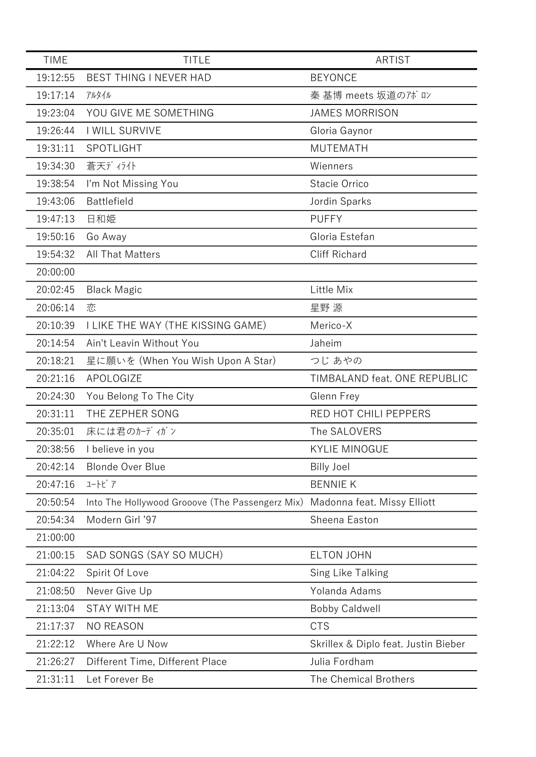| <b>TIME</b> | <b>TITLE</b>                                    | <b>ARTIST</b>                        |
|-------------|-------------------------------------------------|--------------------------------------|
| 19:12:55    | BEST THING I NEVER HAD                          | <b>BEYONCE</b>                       |
| 19:17:14    | アルタイル                                           | 秦 基博 meets 坂道のアポロン                   |
| 19:23:04    | YOU GIVE ME SOMETHING                           | <b>JAMES MORRISON</b>                |
| 19:26:44    | I WILL SURVIVE                                  | Gloria Gaynor                        |
| 19:31:11    | SPOTLIGHT                                       | <b>MUTEMATH</b>                      |
| 19:34:30    | 蒼天ディライト                                         | Wienners                             |
| 19:38:54    | I'm Not Missing You                             | Stacie Orrico                        |
| 19:43:06    | <b>Battlefield</b>                              | Jordin Sparks                        |
| 19:47:13    | 日和姫                                             | <b>PUFFY</b>                         |
| 19:50:16    | Go Away                                         | Gloria Estefan                       |
| 19:54:32    | <b>All That Matters</b>                         | <b>Cliff Richard</b>                 |
| 20:00:00    |                                                 |                                      |
| 20:02:45    | <b>Black Magic</b>                              | Little Mix                           |
| 20:06:14    | 恋                                               | 星野 源                                 |
| 20:10:39    | I LIKE THE WAY (THE KISSING GAME)               | Merico-X                             |
| 20:14:54    | Ain't Leavin Without You                        | Jaheim                               |
| 20:18:21    | 星に願いを (When You Wish Upon A Star)               | つじ あやの                               |
| 20:21:16    | APOLOGIZE                                       | TIMBALAND feat. ONE REPUBLIC         |
| 20:24:30    | You Belong To The City                          | Glenn Frey                           |
| 20:31:11    | THE ZEPHER SONG                                 | RED HOT CHILI PEPPERS                |
| 20:35:01    | 床には君のカーディガン                                     | The SALOVERS                         |
| 20:38:56    | I believe in you                                | <b>KYLIE MINOGUE</b>                 |
| 20:42:14    | <b>Blonde Over Blue</b>                         | <b>Billy Joel</b>                    |
| 20:47:16    | 고-トピ ア                                          | <b>BENNIE K</b>                      |
| 20:50:54    | Into The Hollywood Grooove (The Passengerz Mix) | Madonna feat. Missy Elliott          |
| 20:54:34    | Modern Girl '97                                 | Sheena Easton                        |
| 21:00:00    |                                                 |                                      |
| 21:00:15    | SAD SONGS (SAY SO MUCH)                         | <b>ELTON JOHN</b>                    |
| 21:04:22    | Spirit Of Love                                  | Sing Like Talking                    |
| 21:08:50    | Never Give Up                                   | Yolanda Adams                        |
| 21:13:04    | <b>STAY WITH ME</b>                             | <b>Bobby Caldwell</b>                |
| 21:17:37    | <b>NO REASON</b>                                | <b>CTS</b>                           |
| 21:22:12    | Where Are U Now                                 | Skrillex & Diplo feat. Justin Bieber |
| 21:26:27    | Different Time, Different Place                 | Julia Fordham                        |
| 21:31:11    | Let Forever Be                                  | The Chemical Brothers                |